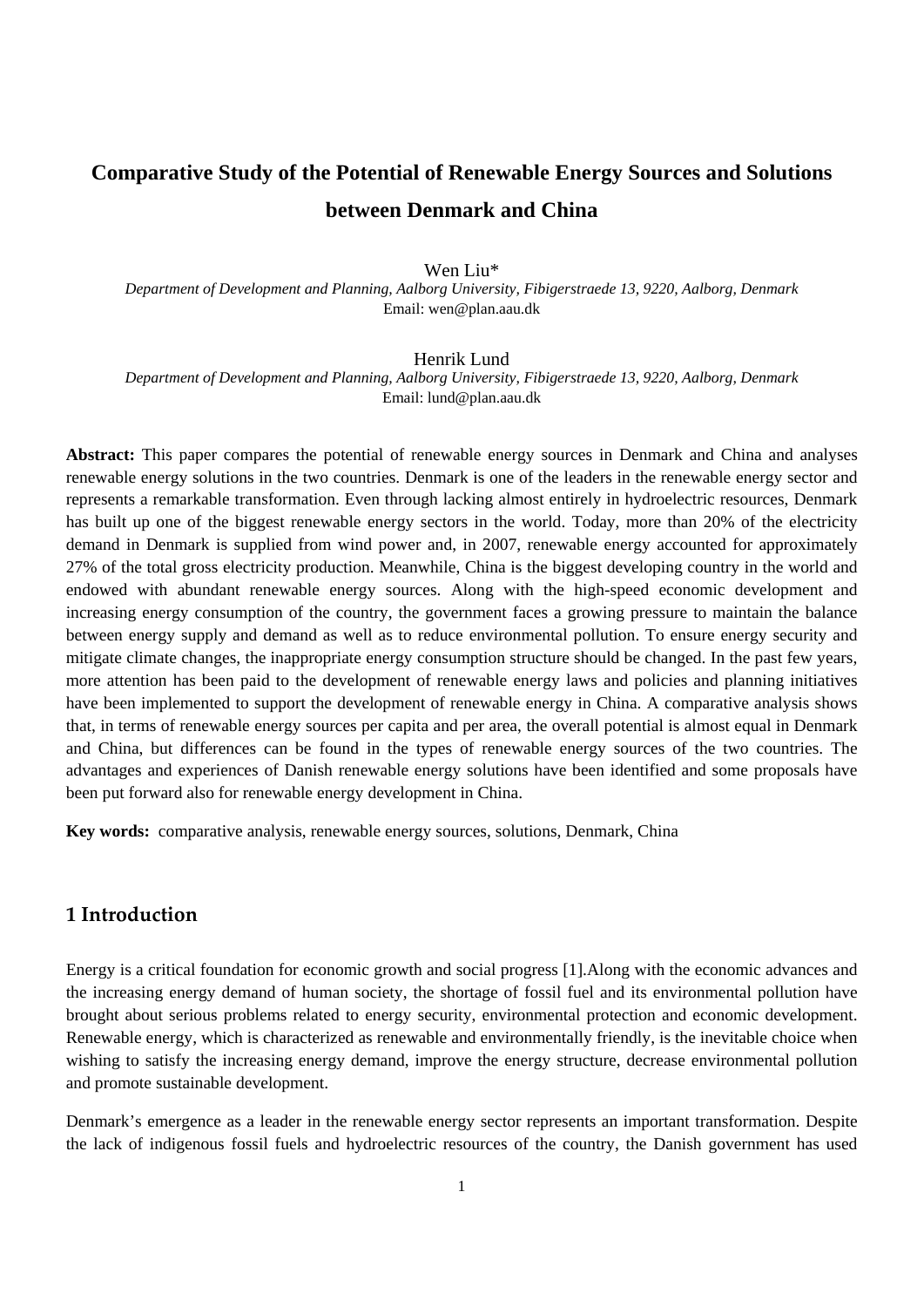# **Comparative Study of the Potential of Renewable Energy Sources and Solutions between Denmark and China**

Wen Liu\* *Department of Development and Planning, Aalborg University, Fibigerstraede 13, 9220, Aalborg, Denmark*  Email: wen@plan.aau.dk

#### Henrik Lund

*Department of Development and Planning, Aalborg University, Fibigerstraede 13, 9220, Aalborg, Denmark*  Email: lund@plan.aau.dk

**Abstract:** This paper compares the potential of renewable energy sources in Denmark and China and analyses renewable energy solutions in the two countries. Denmark is one of the leaders in the renewable energy sector and represents a remarkable transformation. Even through lacking almost entirely in hydroelectric resources, Denmark has built up one of the biggest renewable energy sectors in the world. Today, more than 20% of the electricity demand in Denmark is supplied from wind power and, in 2007, renewable energy accounted for approximately 27% of the total gross electricity production. Meanwhile, China is the biggest developing country in the world and endowed with abundant renewable energy sources. Along with the high-speed economic development and increasing energy consumption of the country, the government faces a growing pressure to maintain the balance between energy supply and demand as well as to reduce environmental pollution. To ensure energy security and mitigate climate changes, the inappropriate energy consumption structure should be changed. In the past few years, more attention has been paid to the development of renewable energy laws and policies and planning initiatives have been implemented to support the development of renewable energy in China. A comparative analysis shows that, in terms of renewable energy sources per capita and per area, the overall potential is almost equal in Denmark and China, but differences can be found in the types of renewable energy sources of the two countries. The advantages and experiences of Danish renewable energy solutions have been identified and some proposals have been put forward also for renewable energy development in China.

**Key words:** comparative analysis, renewable energy sources, solutions, Denmark, China

## **1 Introduction**

Energy is a critical foundation for economic growth and social progress [1].Along with the economic advances and the increasing energy demand of human society, the shortage of fossil fuel and its environmental pollution have brought about serious problems related to energy security, environmental protection and economic development. Renewable energy, which is characterized as renewable and environmentally friendly, is the inevitable choice when wishing to satisfy the increasing energy demand, improve the energy structure, decrease environmental pollution and promote sustainable development.

Denmark's emergence as a leader in the renewable energy sector represents an important transformation. Despite the lack of indigenous fossil fuels and hydroelectric resources of the country, the Danish government has used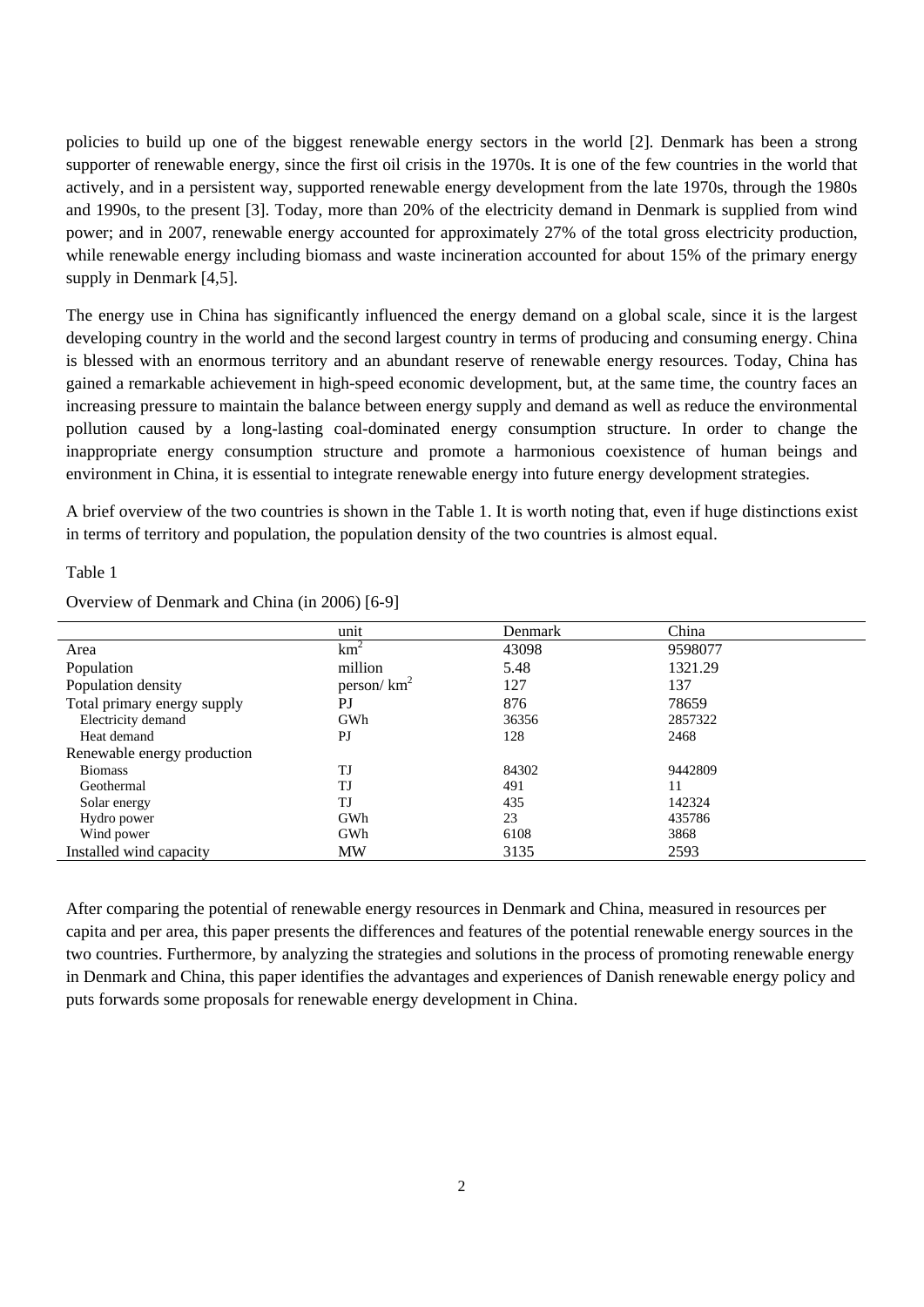policies to build up one of the biggest renewable energy sectors in the world [2]. Denmark has been a strong supporter of renewable energy, since the first oil crisis in the 1970s. It is one of the few countries in the world that actively, and in a persistent way, supported renewable energy development from the late 1970s, through the 1980s and 1990s, to the present [3]. Today, more than 20% of the electricity demand in Denmark is supplied from wind power; and in 2007, renewable energy accounted for approximately 27% of the total gross electricity production, while renewable energy including biomass and waste incineration accounted for about 15% of the primary energy supply in Denmark [4,5].

The energy use in China has significantly influenced the energy demand on a global scale, since it is the largest developing country in the world and the second largest country in terms of producing and consuming energy. China is blessed with an enormous territory and an abundant reserve of renewable energy resources. Today, China has gained a remarkable achievement in high-speed economic development, but, at the same time, the country faces an increasing pressure to maintain the balance between energy supply and demand as well as reduce the environmental pollution caused by a long-lasting coal-dominated energy consumption structure. In order to change the inappropriate energy consumption structure and promote a harmonious coexistence of human beings and environment in China, it is essential to integrate renewable energy into future energy development strategies.

A brief overview of the two countries is shown in the Table 1. It is worth noting that, even if huge distinctions exist in terms of territory and population, the population density of the two countries is almost equal.

### Table 1

Overview of Denmark and China (in 2006) [6-9]

|                             | unit           | <b>Denmark</b> | China   |
|-----------------------------|----------------|----------------|---------|
| Area                        | $km^2$         | 43098          | 9598077 |
| Population                  | million        | 5.48           | 1321.29 |
| Population density          | person/ $km^2$ | 127            | 137     |
| Total primary energy supply | P <sub>J</sub> | 876            | 78659   |
| Electricity demand          | GWh            | 36356          | 2857322 |
| Heat demand                 | PI             | 128            | 2468    |
| Renewable energy production |                |                |         |
| <b>Biomass</b>              | TJ             | 84302          | 9442809 |
| Geothermal                  | TJ             | 491            | 11      |
| Solar energy                | TJ             | 435            | 142324  |
| Hydro power                 | GWh            | 23             | 435786  |
| Wind power                  | GWh            | 6108           | 3868    |
| Installed wind capacity     | <b>MW</b>      | 3135           | 2593    |

After comparing the potential of renewable energy resources in Denmark and China, measured in resources per capita and per area, this paper presents the differences and features of the potential renewable energy sources in the two countries. Furthermore, by analyzing the strategies and solutions in the process of promoting renewable energy in Denmark and China, this paper identifies the advantages and experiences of Danish renewable energy policy and puts forwards some proposals for renewable energy development in China.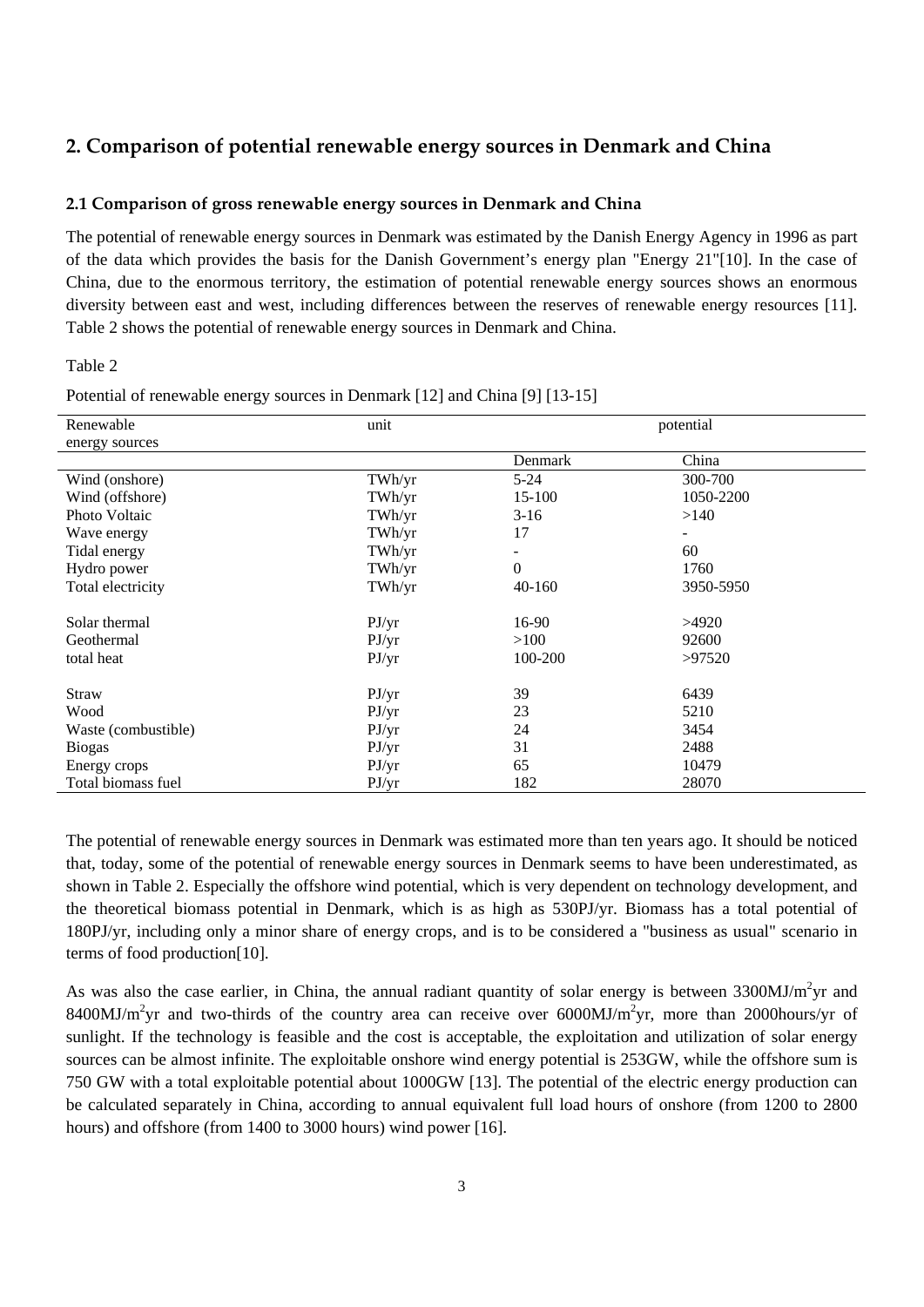## **2. Comparison of potential renewable energy sources in Denmark and China**

### **2.1 Comparison of gross renewable energy sources in Denmark and China**

The potential of renewable energy sources in Denmark was estimated by the Danish Energy Agency in 1996 as part of the data which provides the basis for the Danish Government's energy plan "Energy 21"[10]. In the case of China, due to the enormous territory, the estimation of potential renewable energy sources shows an enormous diversity between east and west, including differences between the reserves of renewable energy resources [11]. Table 2 shows the potential of renewable energy sources in Denmark and China.

### Table 2

| Renewable           | unit   |              | potential                |  |
|---------------------|--------|--------------|--------------------------|--|
| energy sources      |        |              |                          |  |
|                     |        | Denmark      | China                    |  |
| Wind (onshore)      | TWh/yr | $5 - 24$     | 300-700                  |  |
| Wind (offshore)     | TWh/yr | 15-100       | 1050-2200                |  |
| Photo Voltaic       | TWh/yr | $3-16$       | >140                     |  |
| Wave energy         | TWh/yr | 17           | $\overline{\phantom{a}}$ |  |
| Tidal energy        | TWh/yr |              | 60                       |  |
| Hydro power         | TWh/yr | $\mathbf{0}$ | 1760                     |  |
| Total electricity   | TWh/yr | $40 - 160$   | 3950-5950                |  |
|                     |        |              |                          |  |
| Solar thermal       | PJ/yr  | 16-90        | >4920                    |  |
| Geothermal          | PJ/yr  | >100         | 92600                    |  |
| total heat          | PJ/yr  | 100-200      | >97520                   |  |
|                     |        |              |                          |  |
| Straw               | PJ/yr  | 39           | 6439                     |  |
| Wood                | P J/yr | 23           | 5210                     |  |
| Waste (combustible) | P J/yr | 24           | 3454                     |  |
| <b>Biogas</b>       | PJ/yr  | 31           | 2488                     |  |
| Energy crops        | PJ/yr  | 65           | 10479                    |  |
| Total biomass fuel  | PJ/yr  | 182          | 28070                    |  |

Potential of renewable energy sources in Denmark [12] and China [9] [13-15]

The potential of renewable energy sources in Denmark was estimated more than ten years ago. It should be noticed that, today, some of the potential of renewable energy sources in Denmark seems to have been underestimated, as shown in Table 2. Especially the offshore wind potential, which is very dependent on technology development, and the theoretical biomass potential in Denmark, which is as high as 530PJ/yr. Biomass has a total potential of 180PJ/yr, including only a minor share of energy crops, and is to be considered a "business as usual" scenario in terms of food production[10].

As was also the case earlier, in China, the annual radiant quantity of solar energy is between  $3300MJ/m<sup>2</sup>yr$  and 8400MJ/m<sup>2</sup>yr and two-thirds of the country area can receive over 6000MJ/m<sup>2</sup>yr, more than 2000hours/yr of sunlight. If the technology is feasible and the cost is acceptable, the exploitation and utilization of solar energy sources can be almost infinite. The exploitable onshore wind energy potential is 253GW, while the offshore sum is 750 GW with a total exploitable potential about 1000GW [13]. The potential of the electric energy production can be calculated separately in China, according to annual equivalent full load hours of onshore (from 1200 to 2800 hours) and offshore (from 1400 to 3000 hours) wind power [16].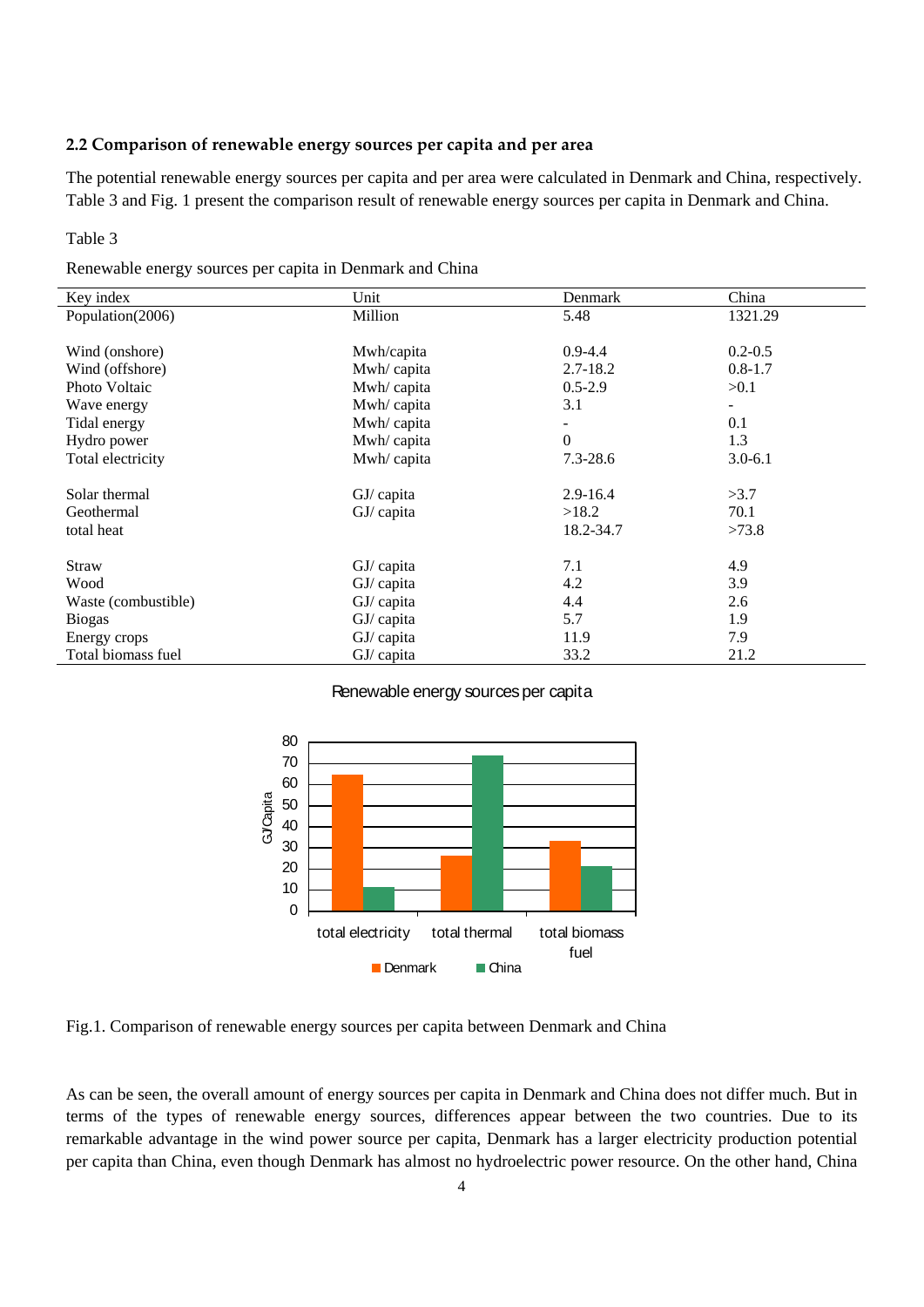## **2.2 Comparison of renewable energy sources per capita and per area**

The potential renewable energy sources per capita and per area were calculated in Denmark and China, respectively. Table 3 and Fig. 1 present the comparison result of renewable energy sources per capita in Denmark and China.

### Table 3

| Renewable energy sources per capita in Denmark and China |  |  |  |  |
|----------------------------------------------------------|--|--|--|--|
|----------------------------------------------------------|--|--|--|--|

| Key index           | Unit         | Denmark      | China                    |
|---------------------|--------------|--------------|--------------------------|
| Population(2006)    | Million      | 5.48         | 1321.29                  |
|                     |              |              |                          |
| Wind (onshore)      | Mwh/capita   | $0.9 - 4.4$  | $0.2 - 0.5$              |
| Wind (offshore)     | Mwh/capita   | $2.7 - 18.2$ | $0.8 - 1.7$              |
| Photo Voltaic       | Mwh/capita   | $0.5 - 2.9$  | >0.1                     |
| Wave energy         | Mwh/capita   | 3.1          | $\overline{\phantom{a}}$ |
| Tidal energy        | Mwh/capita   |              | 0.1                      |
| Hydro power         | Mwh/capita   | $\Omega$     | 1.3                      |
| Total electricity   | Mwh/capita   | $7.3 - 28.6$ | $3.0 - 6.1$              |
|                     |              |              |                          |
| Solar thermal       | $GJ/c$ apita | $2.9 - 16.4$ | >3.7                     |
| Geothermal          | $GI/c$ apita | >18.2        | 70.1                     |
| total heat          |              | 18.2-34.7    | >73.8                    |
|                     |              |              |                          |
| Straw               | $GI/c$ apita | 7.1          | 4.9                      |
| Wood                | GJ/ capita   | 4.2          | 3.9                      |
| Waste (combustible) | GJ/ capita   | 4.4          | 2.6                      |
| <b>Biogas</b>       | GJ/ capita   | 5.7          | 1.9                      |
| Energy crops        | $GI/c$ apita | 11.9         | 7.9                      |
| Total biomass fuel  | GJ/ capita   | 33.2         | 21.2                     |

### Renewable energy sources per capita



Fig.1. Comparison of renewable energy sources per capita between Denmark and China

As can be seen, the overall amount of energy sources per capita in Denmark and China does not differ much. But in terms of the types of renewable energy sources, differences appear between the two countries. Due to its remarkable advantage in the wind power source per capita, Denmark has a larger electricity production potential per capita than China, even though Denmark has almost no hydroelectric power resource. On the other hand, China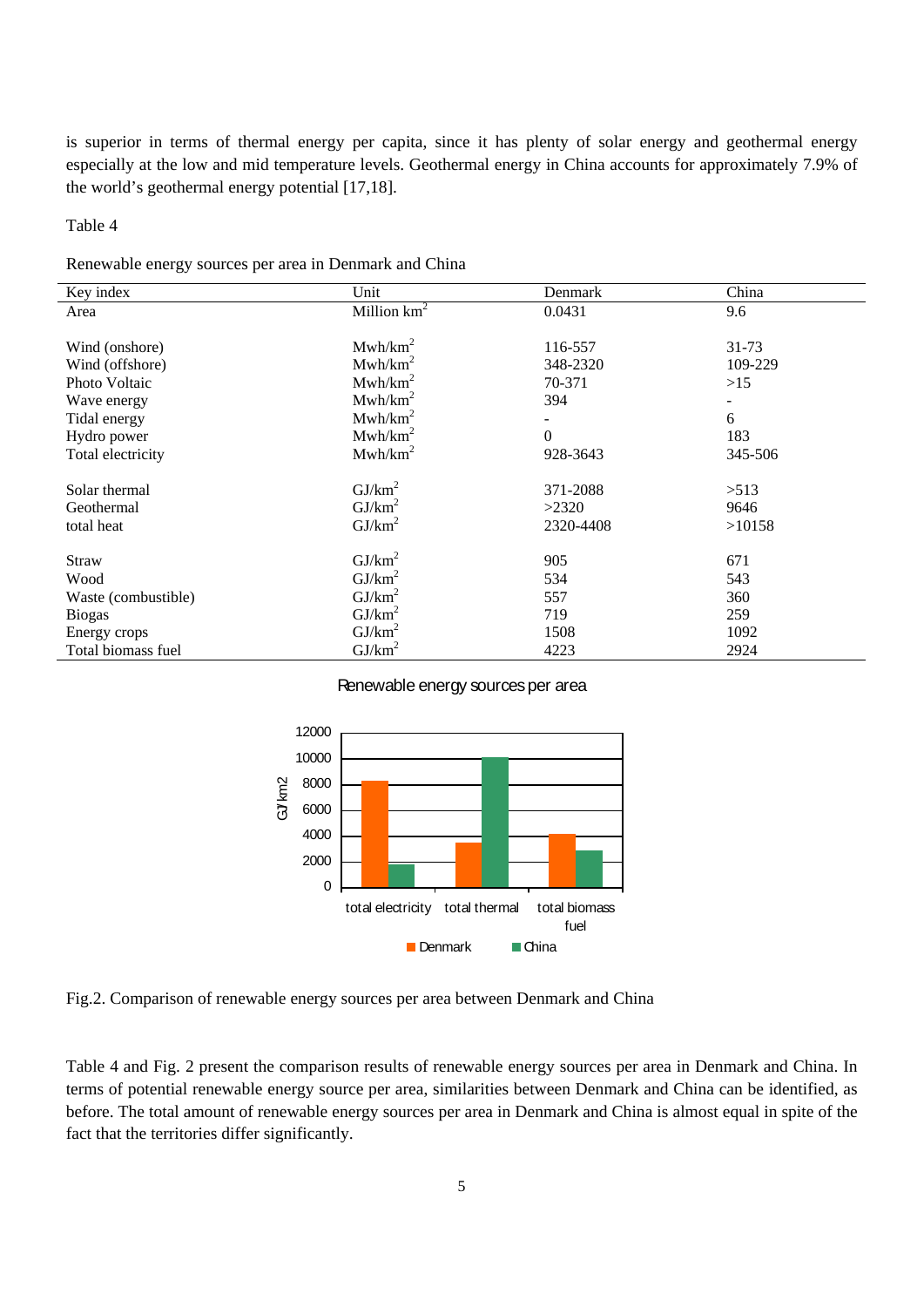is superior in terms of thermal energy per capita, since it has plenty of solar energy and geothermal energy especially at the low and mid temperature levels. Geothermal energy in China accounts for approximately 7.9% of the world's geothermal energy potential [17,18].

Table 4

Renewable energy sources per area in Denmark and China

| Key index           | Unit                | Denmark   | China   |
|---------------------|---------------------|-----------|---------|
| Area                | Million $km^2$      | 0.0431    | 9.6     |
|                     |                     |           |         |
| Wind (onshore)      | Mwh/km <sup>2</sup> | 116-557   | 31-73   |
| Wind (offshore)     | Mwh/km <sup>2</sup> | 348-2320  | 109-229 |
| Photo Voltaic       | Mwh/km <sup>2</sup> | 70-371    | >15     |
| Wave energy         | Mwh/km <sup>2</sup> | 394       |         |
| Tidal energy        | Mwh/km <sup>2</sup> |           | 6       |
| Hydro power         | Mwh/km <sup>2</sup> | $\Omega$  | 183     |
| Total electricity   | Mwh/km <sup>2</sup> | 928-3643  | 345-506 |
|                     |                     |           |         |
| Solar thermal       | GJ/km <sup>2</sup>  | 371-2088  | >513    |
| Geothermal          | GJ/km <sup>2</sup>  | >2320     | 9646    |
| total heat          | $GJ/km^2$           | 2320-4408 | >10158  |
|                     |                     |           |         |
| <b>Straw</b>        | GJ/km <sup>2</sup>  | 905       | 671     |
| Wood                | $GJ/km^2$           | 534       | 543     |
| Waste (combustible) | $GJ/km^2$           | 557       | 360     |
| <b>Biogas</b>       | GJ/km <sup>2</sup>  | 719       | 259     |
| Energy crops        | $GJ/km^2$           | 1508      | 1092    |
| Total biomass fuel  | $\text{GJ/km}^2$    | 4223      | 2924    |

Renewable energy sources per area



Fig.2. Comparison of renewable energy sources per area between Denmark and China

Table 4 and Fig. 2 present the comparison results of renewable energy sources per area in Denmark and China. In terms of potential renewable energy source per area, similarities between Denmark and China can be identified, as before. The total amount of renewable energy sources per area in Denmark and China is almost equal in spite of the fact that the territories differ significantly.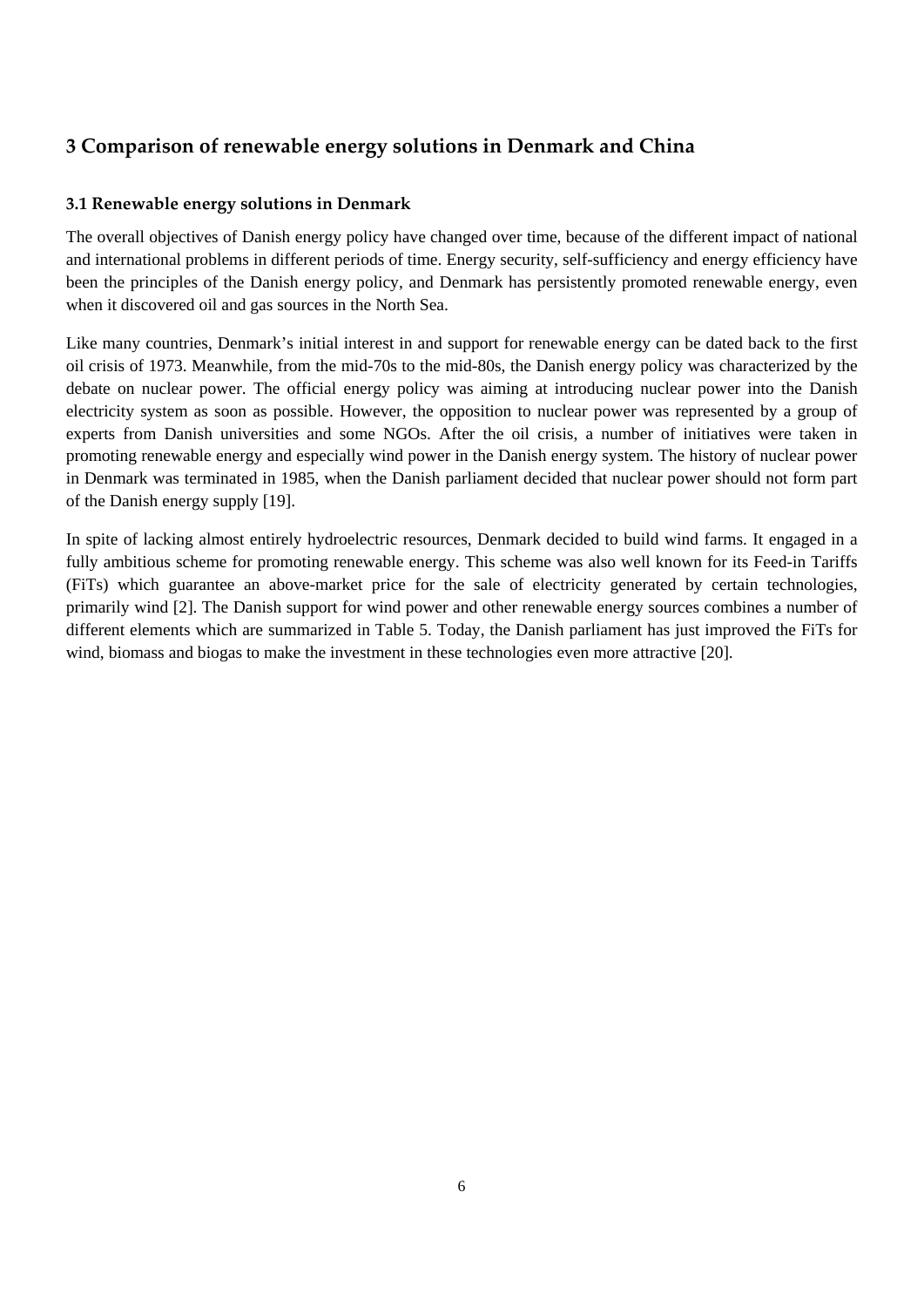## **3 Comparison of renewable energy solutions in Denmark and China**

## **3.1 Renewable energy solutions in Denmark**

The overall objectives of Danish energy policy have changed over time, because of the different impact of national and international problems in different periods of time. Energy security, self-sufficiency and energy efficiency have been the principles of the Danish energy policy, and Denmark has persistently promoted renewable energy, even when it discovered oil and gas sources in the North Sea.

Like many countries, Denmark's initial interest in and support for renewable energy can be dated back to the first oil crisis of 1973. Meanwhile, from the mid-70s to the mid-80s, the Danish energy policy was characterized by the debate on nuclear power. The official energy policy was aiming at introducing nuclear power into the Danish electricity system as soon as possible. However, the opposition to nuclear power was represented by a group of experts from Danish universities and some NGOs. After the oil crisis, a number of initiatives were taken in promoting renewable energy and especially wind power in the Danish energy system. The history of nuclear power in Denmark was terminated in 1985, when the Danish parliament decided that nuclear power should not form part of the Danish energy supply [19].

In spite of lacking almost entirely hydroelectric resources, Denmark decided to build wind farms. It engaged in a fully ambitious scheme for promoting renewable energy. This scheme was also well known for its Feed-in Tariffs (FiTs) which guarantee an above-market price for the sale of electricity generated by certain technologies, primarily wind [2]. The Danish support for wind power and other renewable energy sources combines a number of different elements which are summarized in Table 5. Today, the Danish parliament has just improved the FiTs for wind, biomass and biogas to make the investment in these technologies even more attractive [20].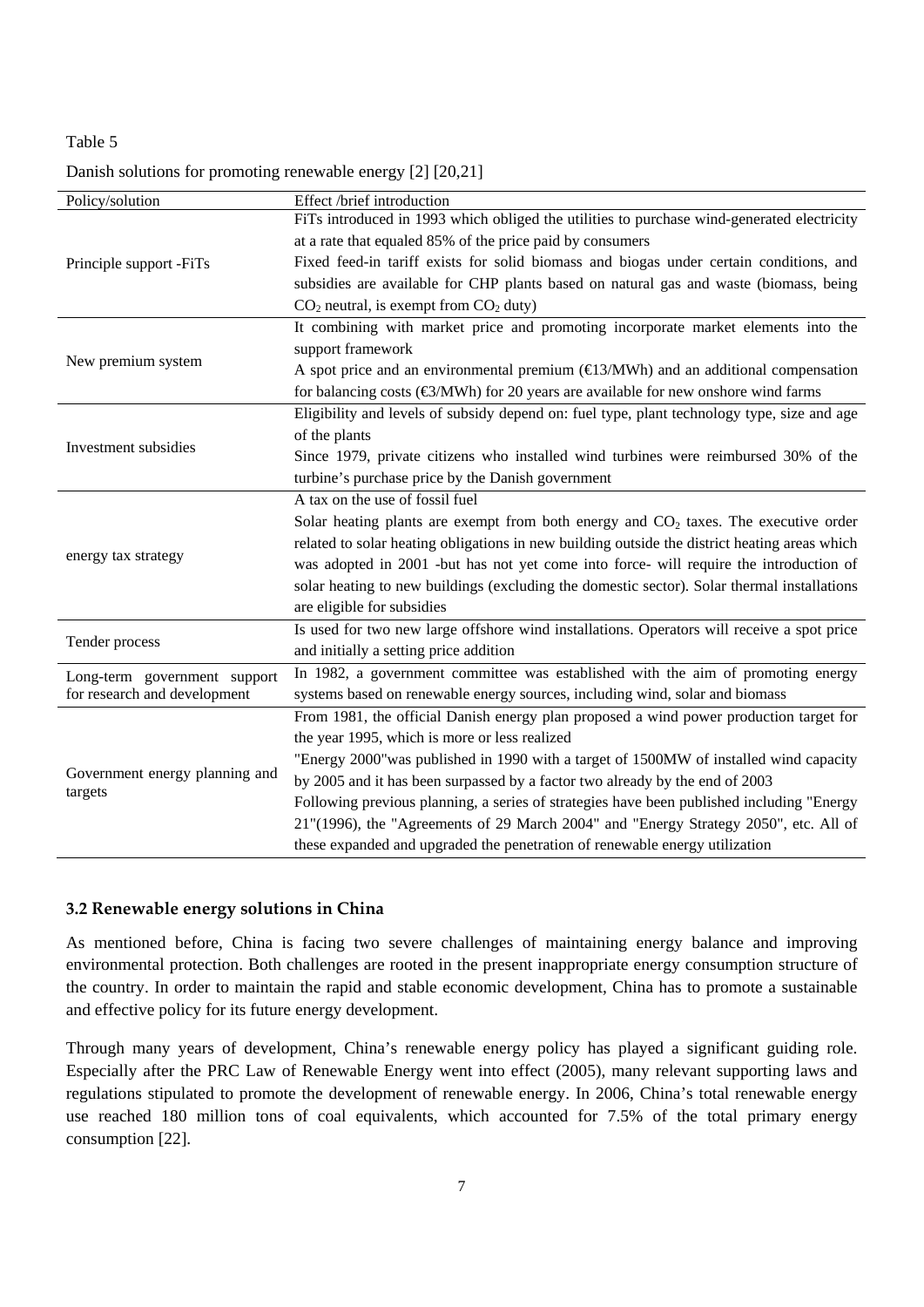#### Table 5

## Danish solutions for promoting renewable energy [2] [20,21]

| Policy/solution                           | Effect /brief introduction                                                                    |  |
|-------------------------------------------|-----------------------------------------------------------------------------------------------|--|
|                                           | FiTs introduced in 1993 which obliged the utilities to purchase wind-generated electricity    |  |
| Principle support -FiTs                   | at a rate that equaled 85% of the price paid by consumers                                     |  |
|                                           | Fixed feed-in tariff exists for solid biomass and biogas under certain conditions, and        |  |
|                                           | subsidies are available for CHP plants based on natural gas and waste (biomass, being         |  |
|                                           | $CO2$ neutral, is exempt from $CO2$ duty)                                                     |  |
|                                           | It combining with market price and promoting incorporate market elements into the             |  |
|                                           | support framework                                                                             |  |
| New premium system                        | A spot price and an environmental premium $(\text{E3/MWh})$ and an additional compensation    |  |
|                                           | for balancing costs ( $\bigcirc$ /MWh) for 20 years are available for new onshore wind farms  |  |
|                                           | Eligibility and levels of subsidy depend on: fuel type, plant technology type, size and age   |  |
|                                           | of the plants                                                                                 |  |
| Investment subsidies                      | Since 1979, private citizens who installed wind turbines were reimbursed 30% of the           |  |
|                                           | turbine's purchase price by the Danish government                                             |  |
|                                           | A tax on the use of fossil fuel                                                               |  |
|                                           | Solar heating plants are exempt from both energy and $CO2$ taxes. The executive order         |  |
|                                           | related to solar heating obligations in new building outside the district heating areas which |  |
| energy tax strategy                       | was adopted in 2001 -but has not yet come into force- will require the introduction of        |  |
|                                           | solar heating to new buildings (excluding the domestic sector). Solar thermal installations   |  |
|                                           | are eligible for subsidies                                                                    |  |
|                                           | Is used for two new large offshore wind installations. Operators will receive a spot price    |  |
| Tender process                            | and initially a setting price addition                                                        |  |
| Long-term government support              | In 1982, a government committee was established with the aim of promoting energy              |  |
| for research and development              | systems based on renewable energy sources, including wind, solar and biomass                  |  |
|                                           | From 1981, the official Danish energy plan proposed a wind power production target for        |  |
| Government energy planning and<br>targets | the year 1995, which is more or less realized                                                 |  |
|                                           | "Energy 2000" was published in 1990 with a target of 1500MW of installed wind capacity        |  |
|                                           | by 2005 and it has been surpassed by a factor two already by the end of 2003                  |  |
|                                           | Following previous planning, a series of strategies have been published including "Energy     |  |
|                                           | 21"(1996), the "Agreements of 29 March 2004" and "Energy Strategy 2050", etc. All of          |  |
|                                           | these expanded and upgraded the penetration of renewable energy utilization                   |  |

## **3.2 Renewable energy solutions in China**

As mentioned before, China is facing two severe challenges of maintaining energy balance and improving environmental protection. Both challenges are rooted in the present inappropriate energy consumption structure of the country. In order to maintain the rapid and stable economic development, China has to promote a sustainable and effective policy for its future energy development.

Through many years of development, China's renewable energy policy has played a significant guiding role. Especially after the PRC Law of Renewable Energy went into effect (2005), many relevant supporting laws and regulations stipulated to promote the development of renewable energy. In 2006, China's total renewable energy use reached 180 million tons of coal equivalents, which accounted for 7.5% of the total primary energy consumption [22].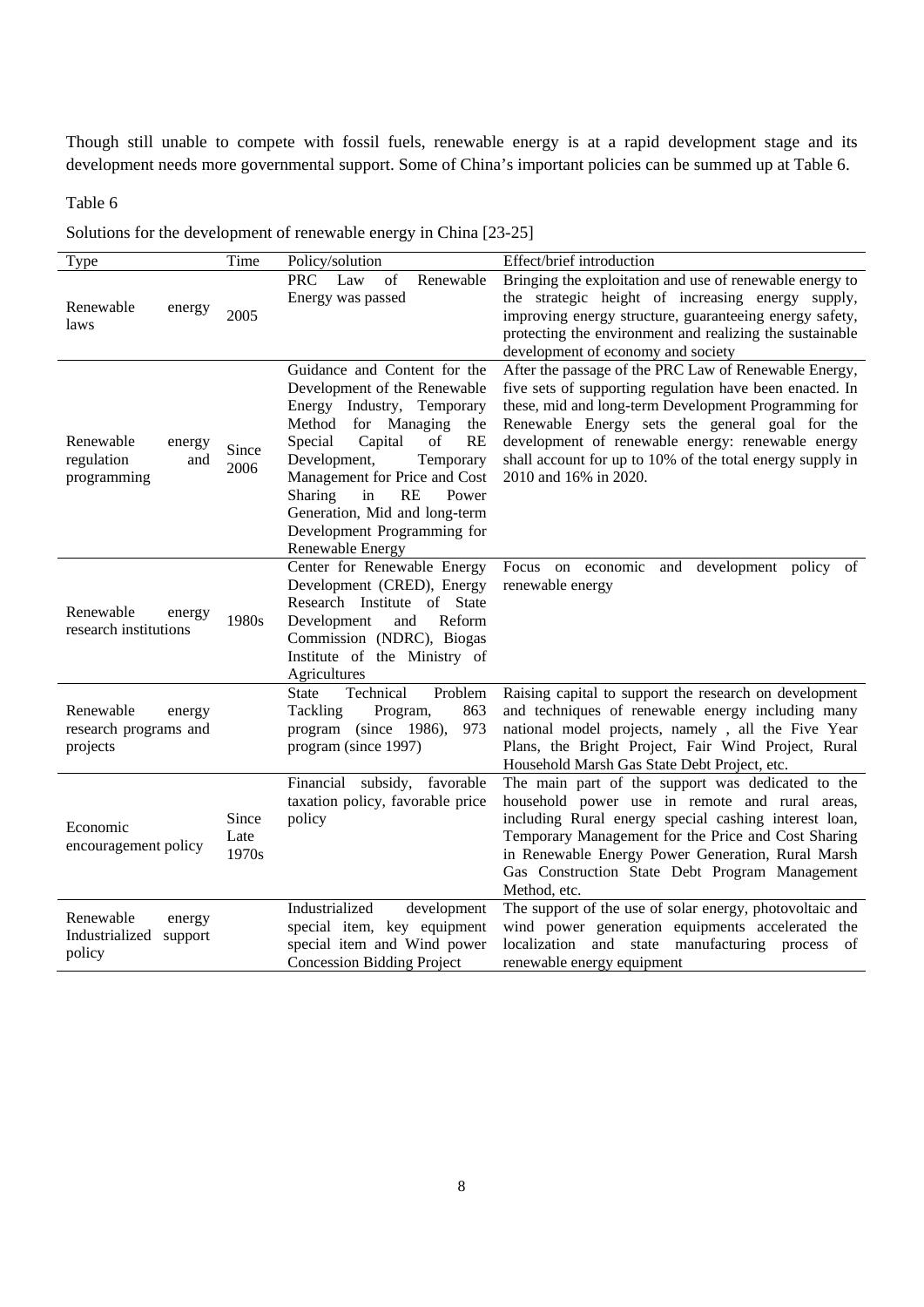Though still unable to compete with fossil fuels, renewable energy is at a rapid development stage and its development needs more governmental support. Some of China's important policies can be summed up at Table 6.

## Table 6

Solutions for the development of renewable energy in China [23-25]

| Type                                                       | Time                   | Policy/solution                                                                                                                                                                                                                                                                                                                                            | Effect/brief introduction                                                                                                                                                                                                                                                                                                                                              |
|------------------------------------------------------------|------------------------|------------------------------------------------------------------------------------------------------------------------------------------------------------------------------------------------------------------------------------------------------------------------------------------------------------------------------------------------------------|------------------------------------------------------------------------------------------------------------------------------------------------------------------------------------------------------------------------------------------------------------------------------------------------------------------------------------------------------------------------|
| Renewable<br>energy<br>laws                                | 2005                   | <b>PRC</b><br>Law<br>of<br>Renewable<br>Energy was passed                                                                                                                                                                                                                                                                                                  | Bringing the exploitation and use of renewable energy to<br>the strategic height of increasing energy supply,<br>improving energy structure, guaranteeing energy safety,<br>protecting the environment and realizing the sustainable<br>development of economy and society                                                                                             |
| Renewable<br>energy<br>regulation<br>and<br>programming    | Since<br>2006          | Guidance and Content for the<br>Development of the Renewable<br>Energy Industry, Temporary<br>Method for Managing<br>the<br>Special<br><b>RE</b><br>Capital<br>οf<br>Development,<br>Temporary<br>Management for Price and Cost<br>RE<br><b>Sharing</b><br>in<br>Power<br>Generation, Mid and long-term<br>Development Programming for<br>Renewable Energy | After the passage of the PRC Law of Renewable Energy,<br>five sets of supporting regulation have been enacted. In<br>these, mid and long-term Development Programming for<br>Renewable Energy sets the general goal for the<br>development of renewable energy: renewable energy<br>shall account for up to 10% of the total energy supply in<br>2010 and 16% in 2020. |
| Renewable<br>energy<br>research institutions               | 1980s                  | Center for Renewable Energy<br>Development (CRED), Energy<br>Research Institute of State<br>Development<br>Reform<br>and<br>Commission (NDRC), Biogas<br>Institute of the Ministry of<br>Agricultures                                                                                                                                                      | Focus on economic<br>and<br>development policy of<br>renewable energy                                                                                                                                                                                                                                                                                                  |
| Renewable<br>energy<br>research programs and<br>projects   |                        | Technical<br>Problem<br><b>State</b><br>Tackling<br>Program,<br>863<br>program (since 1986),<br>973<br>program (since 1997)                                                                                                                                                                                                                                | Raising capital to support the research on development<br>and techniques of renewable energy including many<br>national model projects, namely, all the Five Year<br>Plans, the Bright Project, Fair Wind Project, Rural<br>Household Marsh Gas State Debt Project, etc.                                                                                               |
| Economic<br>encouragement policy                           | Since<br>Late<br>1970s | Financial subsidy, favorable<br>taxation policy, favorable price<br>policy                                                                                                                                                                                                                                                                                 | The main part of the support was dedicated to the<br>household power use in remote and rural areas,<br>including Rural energy special cashing interest loan,<br>Temporary Management for the Price and Cost Sharing<br>in Renewable Energy Power Generation, Rural Marsh<br>Gas Construction State Debt Program Management<br>Method, etc.                             |
| Renewable<br>energy<br>Industrialized<br>support<br>policy |                        | Industrialized<br>development<br>special item, key equipment<br>special item and Wind power<br><b>Concession Bidding Project</b>                                                                                                                                                                                                                           | The support of the use of solar energy, photovoltaic and<br>wind power generation equipments accelerated the<br>localization and state manufacturing process<br>- of<br>renewable energy equipment                                                                                                                                                                     |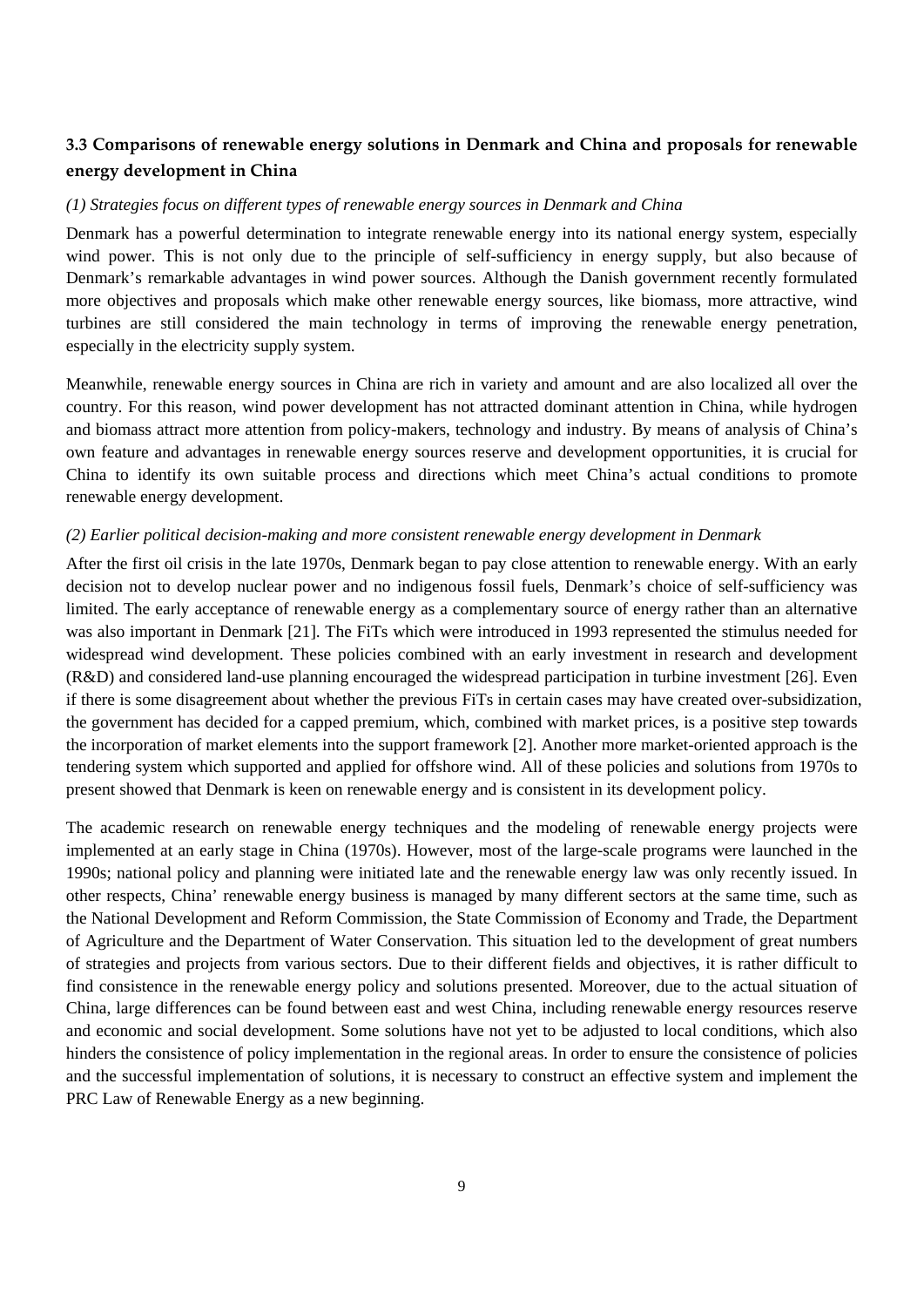## **3.3 Comparisons of renewable energy solutions in Denmark and China and proposals for renewable energy development in China**

#### *(1) Strategies focus on different types of renewable energy sources in Denmark and China*

Denmark has a powerful determination to integrate renewable energy into its national energy system, especially wind power. This is not only due to the principle of self-sufficiency in energy supply, but also because of Denmark's remarkable advantages in wind power sources. Although the Danish government recently formulated more objectives and proposals which make other renewable energy sources, like biomass, more attractive, wind turbines are still considered the main technology in terms of improving the renewable energy penetration, especially in the electricity supply system.

Meanwhile, renewable energy sources in China are rich in variety and amount and are also localized all over the country. For this reason, wind power development has not attracted dominant attention in China, while hydrogen and biomass attract more attention from policy-makers, technology and industry. By means of analysis of China's own feature and advantages in renewable energy sources reserve and development opportunities, it is crucial for China to identify its own suitable process and directions which meet China's actual conditions to promote renewable energy development.

#### *(2) Earlier political decision-making and more consistent renewable energy development in Denmark*

After the first oil crisis in the late 1970s, Denmark began to pay close attention to renewable energy. With an early decision not to develop nuclear power and no indigenous fossil fuels, Denmark's choice of self-sufficiency was limited. The early acceptance of renewable energy as a complementary source of energy rather than an alternative was also important in Denmark [21]. The FiTs which were introduced in 1993 represented the stimulus needed for widespread wind development. These policies combined with an early investment in research and development (R&D) and considered land-use planning encouraged the widespread participation in turbine investment [26]. Even if there is some disagreement about whether the previous FiTs in certain cases may have created over-subsidization, the government has decided for a capped premium, which, combined with market prices, is a positive step towards the incorporation of market elements into the support framework [2]. Another more market-oriented approach is the tendering system which supported and applied for offshore wind. All of these policies and solutions from 1970s to present showed that Denmark is keen on renewable energy and is consistent in its development policy.

The academic research on renewable energy techniques and the modeling of renewable energy projects were implemented at an early stage in China (1970s). However, most of the large-scale programs were launched in the 1990s; national policy and planning were initiated late and the renewable energy law was only recently issued. In other respects, China' renewable energy business is managed by many different sectors at the same time, such as the National Development and Reform Commission, the State Commission of Economy and Trade, the Department of Agriculture and the Department of Water Conservation. This situation led to the development of great numbers of strategies and projects from various sectors. Due to their different fields and objectives, it is rather difficult to find consistence in the renewable energy policy and solutions presented. Moreover, due to the actual situation of China, large differences can be found between east and west China, including renewable energy resources reserve and economic and social development. Some solutions have not yet to be adjusted to local conditions, which also hinders the consistence of policy implementation in the regional areas. In order to ensure the consistence of policies and the successful implementation of solutions, it is necessary to construct an effective system and implement the PRC Law of Renewable Energy as a new beginning.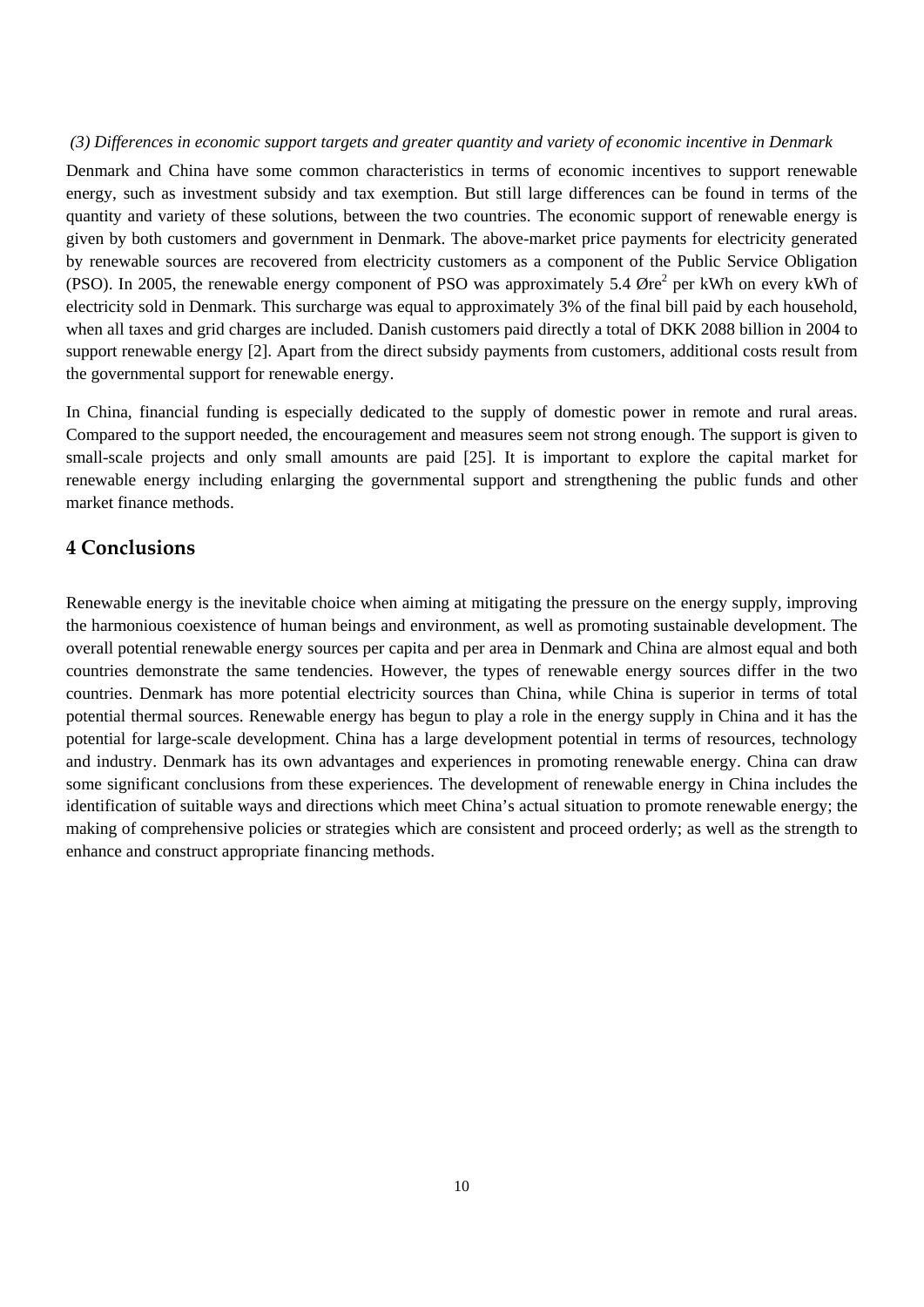#### *(3) Differences in economic support targets and greater quantity and variety of economic incentive in Denmark*

Denmark and China have some common characteristics in terms of economic incentives to support renewable energy, such as investment subsidy and tax exemption. But still large differences can be found in terms of the quantity and variety of these solutions, between the two countries. The economic support of renewable energy is given by both customers and government in Denmark. The above-market price payments for electricity generated by renewable sources are recovered from electricity customers as a component of the Public Service Obligation (PSO). In 2005, the renewable energy component of PSO was approximately 5.4  $\mathcal{O}$ re<sup>2</sup> per kWh on every kWh of electricity sold in Denmark. This surcharge was equal to approximately 3% of the final bill paid by each household, when all taxes and grid charges are included. Danish customers paid directly a total of DKK 2088 billion in 2004 to support renewable energy [2]. Apart from the direct subsidy payments from customers, additional costs result from the governmental support for renewable energy.

In China, financial funding is especially dedicated to the supply of domestic power in remote and rural areas. Compared to the support needed, the encouragement and measures seem not strong enough. The support is given to small-scale projects and only small amounts are paid [25]. It is important to explore the capital market for renewable energy including enlarging the governmental support and strengthening the public funds and other market finance methods.

## **4 Conclusions**

Renewable energy is the inevitable choice when aiming at mitigating the pressure on the energy supply, improving the harmonious coexistence of human beings and environment, as well as promoting sustainable development. The overall potential renewable energy sources per capita and per area in Denmark and China are almost equal and both countries demonstrate the same tendencies. However, the types of renewable energy sources differ in the two countries. Denmark has more potential electricity sources than China, while China is superior in terms of total potential thermal sources. Renewable energy has begun to play a role in the energy supply in China and it has the potential for large-scale development. China has a large development potential in terms of resources, technology and industry. Denmark has its own advantages and experiences in promoting renewable energy. China can draw some significant conclusions from these experiences. The development of renewable energy in China includes the identification of suitable ways and directions which meet China's actual situation to promote renewable energy; the making of comprehensive policies or strategies which are consistent and proceed orderly; as well as the strength to enhance and construct appropriate financing methods.